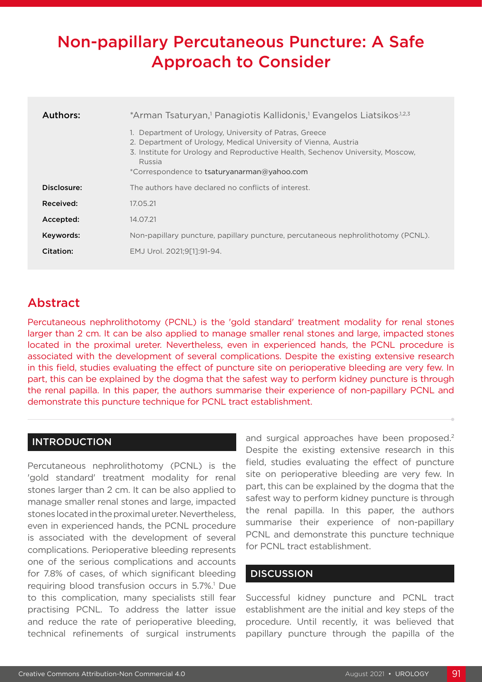# Non-papillary Percutaneous Puncture: A Safe Approach to Consider

| Authors:    | *Arman Tsaturyan, <sup>1</sup> Panagiotis Kallidonis, <sup>1</sup> Evangelos Liatsikos <sup>1,2,3</sup>                                                                                                                                                              |  |  |  |  |  |
|-------------|----------------------------------------------------------------------------------------------------------------------------------------------------------------------------------------------------------------------------------------------------------------------|--|--|--|--|--|
|             | 1. Department of Urology, University of Patras, Greece<br>2. Department of Urology, Medical University of Vienna, Austria<br>3. Institute for Urology and Reproductive Health, Sechenov University, Moscow,<br>Russia<br>*Correspondence to tsaturyanarman@yahoo.com |  |  |  |  |  |
| Disclosure: | The authors have declared no conflicts of interest.                                                                                                                                                                                                                  |  |  |  |  |  |
| Received:   | 17.05.21                                                                                                                                                                                                                                                             |  |  |  |  |  |
| Accepted:   | 14.07.21                                                                                                                                                                                                                                                             |  |  |  |  |  |
| Keywords:   | Non-papillary puncture, papillary puncture, percutaneous nephrolithotomy (PCNL).                                                                                                                                                                                     |  |  |  |  |  |
| Citation:   | EMJ Urol. 2021:9[11:91-94.                                                                                                                                                                                                                                           |  |  |  |  |  |

## Abstract

Percutaneous nephrolithotomy (PCNL) is the 'gold standard' treatment modality for renal stones larger than 2 cm. It can be also applied to manage smaller renal stones and large, impacted stones located in the proximal ureter. Nevertheless, even in experienced hands, the PCNL procedure is associated with the development of several complications. Despite the existing extensive research in this field, studies evaluating the effect of puncture site on perioperative bleeding are very few. In part, this can be explained by the dogma that the safest way to perform kidney puncture is through the renal papilla. In this paper, the authors summarise their experience of non-papillary PCNL and demonstrate this puncture technique for PCNL tract establishment.

## INTRODUCTION

Percutaneous nephrolithotomy (PCNL) is the 'gold standard' treatment modality for renal stones larger than 2 cm. It can be also applied to manage smaller renal stones and large, impacted stones located in the proximal ureter. Nevertheless, even in experienced hands, the PCNL procedure is associated with the development of several complications. Perioperative bleeding represents one of the serious complications and accounts for 7.8% of cases, of which significant bleeding requiring blood transfusion occurs in 5.7%.<sup>1</sup> Due to this complication, many specialists still fear practising PCNL. To address the latter issue and reduce the rate of perioperative bleeding, technical refinements of surgical instruments

and surgical approaches have been proposed.<sup>2</sup> Despite the existing extensive research in this field, studies evaluating the effect of puncture site on perioperative bleeding are very few. In part, this can be explained by the dogma that the safest way to perform kidney puncture is through the renal papilla. In this paper, the authors summarise their experience of non-papillary PCNL and demonstrate this puncture technique for PCNL tract establishment.

### **DISCUSSION**

Successful kidney puncture and PCNL tract establishment are the initial and key steps of the procedure. Until recently, it was believed that papillary puncture through the papilla of the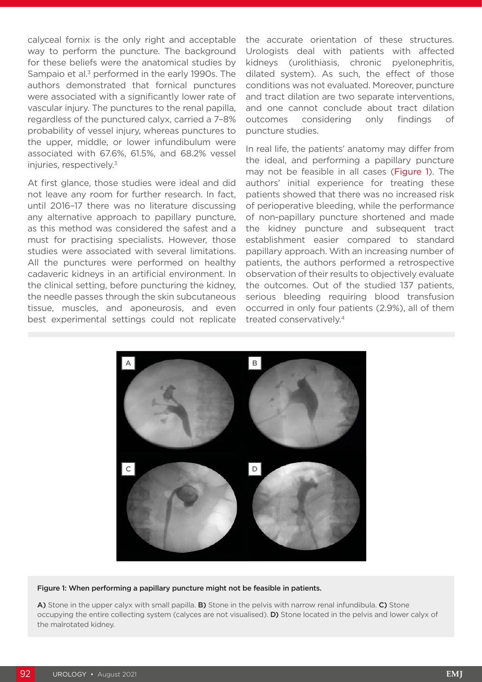calyceal fornix is the only right and acceptable way to perform the puncture. The background for these beliefs were the anatomical studies by Sampaio et al.<sup>3</sup> performed in the early 1990s. The authors demonstrated that fornical punctures were associated with a significantly lower rate of vascular injury. The punctures to the renal papilla, regardless of the punctured calyx, carried a 7–8% probability of vessel injury, whereas punctures to the upper, middle, or lower infundibulum were associated with 67.6%, 61.5%, and 68.2% vessel injuries, respectively.<sup>3</sup>

At first glance, those studies were ideal and did not leave any room for further research. In fact, until 2016–17 there was no literature discussing any alternative approach to papillary puncture, as this method was considered the safest and a must for practising specialists. However, those studies were associated with several limitations. All the punctures were performed on healthy cadaveric kidneys in an artificial environment. In the clinical setting, before puncturing the kidney, the needle passes through the skin subcutaneous tissue, muscles, and aponeurosis, and even best experimental settings could not replicate the accurate orientation of these structures. Urologists deal with patients with affected kidneys (urolithiasis, chronic pyelonephritis, dilated system). As such, the effect of those conditions was not evaluated. Moreover, puncture and tract dilation are two separate interventions, and one cannot conclude about tract dilation outcomes considering only findings of puncture studies.

In real life, the patients' anatomy may differ from the ideal, and performing a papillary puncture may not be feasible in all cases (Figure 1). The authors' initial experience for treating these patients showed that there was no increased risk of perioperative bleeding, while the performance of non-papillary puncture shortened and made the kidney puncture and subsequent tract establishment easier compared to standard papillary approach. With an increasing number of patients, the authors performed a retrospective observation of their results to objectively evaluate the outcomes. Out of the studied 137 patients, serious bleeding requiring blood transfusion occurred in only four patients (2.9%), all of them treated conservatively.4



#### Figure 1: When performing a papillary puncture might not be feasible in patients.

A) Stone in the upper calyx with small papilla. B) Stone in the pelvis with narrow renal infundibula. C) Stone occupying the entire collecting system (calyces are not visualised). D) Stone located in the pelvis and lower calyx of the malrotated kidney.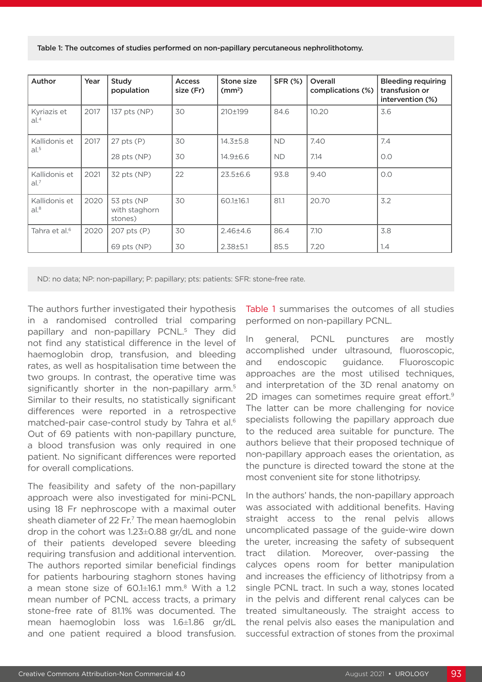Table 1: The outcomes of studies performed on non-papillary percutaneous nephrolithotomy.

| Author                            | Year | Study<br>population                    | <b>Access</b><br>size (Fr) | Stone size<br>(mm <sup>2</sup> ) | <b>SFR (%)</b> | Overall<br>complications (%) | <b>Bleeding requiring</b><br>transfusion or<br>intervention (%) |
|-----------------------------------|------|----------------------------------------|----------------------------|----------------------------------|----------------|------------------------------|-----------------------------------------------------------------|
| Kyriazis et<br>al. <sup>4</sup>   | 2017 | 137 pts (NP)                           | 30                         | 210±199                          | 84.6           | 10.20                        | 3.6                                                             |
| Kallidonis et<br>al. <sup>5</sup> | 2017 | $27$ pts $(P)$                         | 30                         | $14.3 \pm 5.8$                   | <b>ND</b>      | 7.40                         | 7.4                                                             |
|                                   |      | 28 pts (NP)                            | 30                         | 14.9±6.6                         | <b>ND</b>      | 7.14                         | O.O                                                             |
| Kallidonis et<br>al. <sup>7</sup> | 2021 | $32$ pts (NP)                          | 22                         | $23.5 \pm 6.6$                   | 93.8           | 9.40                         | O.O                                                             |
| Kallidonis et<br>$al.^8$          | 2020 | 53 pts (NP<br>with staghorn<br>stones) | 30                         | 60.1±16.1                        | 81.1           | 20.70                        | 3.2                                                             |
| Tahra et al. <sup>6</sup>         | 2020 | 207 pts (P)                            | 30                         | $2.46 + 4.6$                     | 86.4           | 7.10                         | 3.8                                                             |
|                                   |      | 69 pts (NP)                            | 30                         | $2.38 + 5.1$                     | 85.5           | 7.20                         | 1.4                                                             |

ND: no data; NP: non-papillary; P: papillary; pts: patients: SFR: stone-free rate.

The authors further investigated their hypothesis in a randomised controlled trial comparing papillary and non-papillary PCNL.<sup>5</sup> They did not find any statistical difference in the level of haemoglobin drop, transfusion, and bleeding rates, as well as hospitalisation time between the two groups. In contrast, the operative time was significantly shorter in the non-papillary arm.<sup>5</sup> Similar to their results, no statistically significant differences were reported in a retrospective matched-pair case-control study by Tahra et al.<sup>6</sup> Out of 69 patients with non-papillary puncture, a blood transfusion was only required in one patient. No significant differences were reported for overall complications.

The feasibility and safety of the non-papillary approach were also investigated for mini-PCNL using 18 Fr nephroscope with a maximal outer sheath diameter of 22 Fr. $^7$  The mean haemoglobin drop in the cohort was 1.23±0.88 gr/dL and none of their patients developed severe bleeding requiring transfusion and additional intervention. The authors reported similar beneficial findings for patients harbouring staghorn stones having a mean stone size of  $60.1\pm16.1$  mm. $8$  With a 1.2 mean number of PCNL access tracts, a primary stone-free rate of 81.1% was documented. The mean haemoglobin loss was 1.6±1.86 gr/dL and one patient required a blood transfusion. Table 1 summarises the outcomes of all studies performed on non-papillary PCNL.

In general, PCNL punctures are mostly accomplished under ultrasound, fluoroscopic, and endoscopic guidance. Fluoroscopic approaches are the most utilised techniques, and interpretation of the 3D renal anatomy on 2D images can sometimes require great effort.9 The latter can be more challenging for novice specialists following the papillary approach due to the reduced area suitable for puncture. The authors believe that their proposed technique of non-papillary approach eases the orientation, as the puncture is directed toward the stone at the most convenient site for stone lithotripsy.

In the authors' hands, the non-papillary approach was associated with additional benefits. Having straight access to the renal pelvis allows uncomplicated passage of the guide-wire down the ureter, increasing the safety of subsequent tract dilation. Moreover, over-passing the calyces opens room for better manipulation and increases the efficiency of lithotripsy from a single PCNL tract. In such a way, stones located in the pelvis and different renal calyces can be treated simultaneously. The straight access to the renal pelvis also eases the manipulation and successful extraction of stones from the proximal